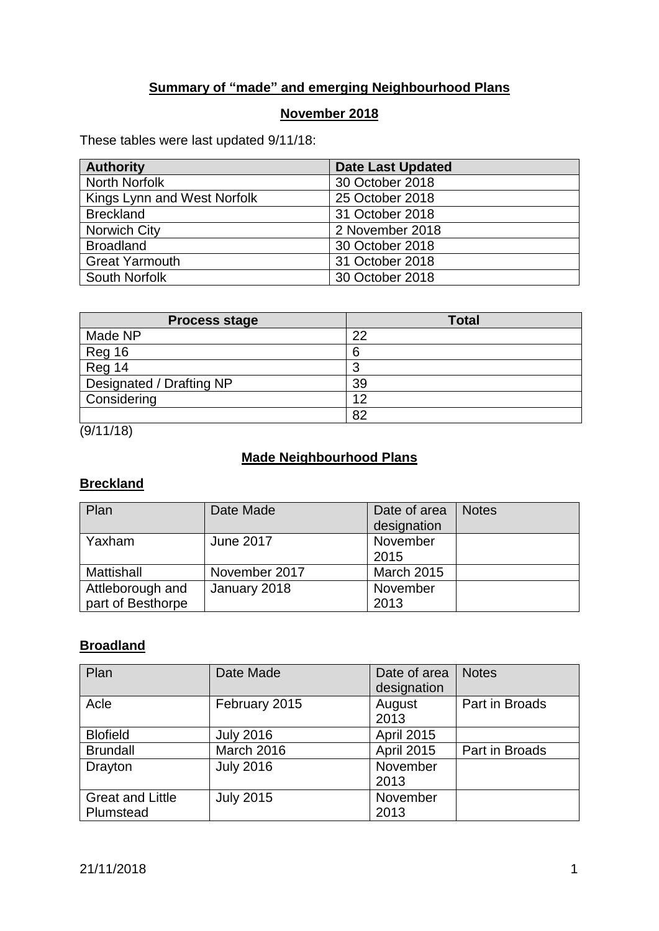## **Summary of "made" and emerging Neighbourhood Plans**

#### **November 2018**

These tables were last updated 9/11/18:

| <b>Authority</b>            | <b>Date Last Updated</b> |
|-----------------------------|--------------------------|
| North Norfolk               | 30 October 2018          |
| Kings Lynn and West Norfolk | 25 October 2018          |
| <b>Breckland</b>            | 31 October 2018          |
| <b>Norwich City</b>         | 2 November 2018          |
| <b>Broadland</b>            | 30 October 2018          |
| <b>Great Yarmouth</b>       | 31 October 2018          |
| South Norfolk               | 30 October 2018          |

| <b>Process stage</b>     | <b>Total</b> |
|--------------------------|--------------|
| Made NP                  | 22           |
| Reg 16                   | 6            |
| Reg 14                   |              |
| Designated / Drafting NP | 39           |
| Considering              | 12           |
|                          | 82           |

 $(9/11/18)$ 

## **Made Neighbourhood Plans**

## **Breckland**

| Plan                                  | Date Made        | Date of area<br>designation | <b>Notes</b> |
|---------------------------------------|------------------|-----------------------------|--------------|
| Yaxham                                | <b>June 2017</b> | November<br>2015            |              |
| Mattishall                            | November 2017    | <b>March 2015</b>           |              |
| Attleborough and<br>part of Besthorpe | January 2018     | November<br>2013            |              |

#### **Broadland**

| Plan                    | Date Made        | Date of area<br>designation | <b>Notes</b>   |
|-------------------------|------------------|-----------------------------|----------------|
| Acle                    | February 2015    | August<br>2013              | Part in Broads |
| <b>Blofield</b>         | <b>July 2016</b> | <b>April 2015</b>           |                |
| <b>Brundall</b>         | March 2016       | <b>April 2015</b>           | Part in Broads |
| Drayton                 | <b>July 2016</b> | November                    |                |
|                         |                  | 2013                        |                |
| <b>Great and Little</b> | <b>July 2015</b> | November                    |                |
| Plumstead               |                  | 2013                        |                |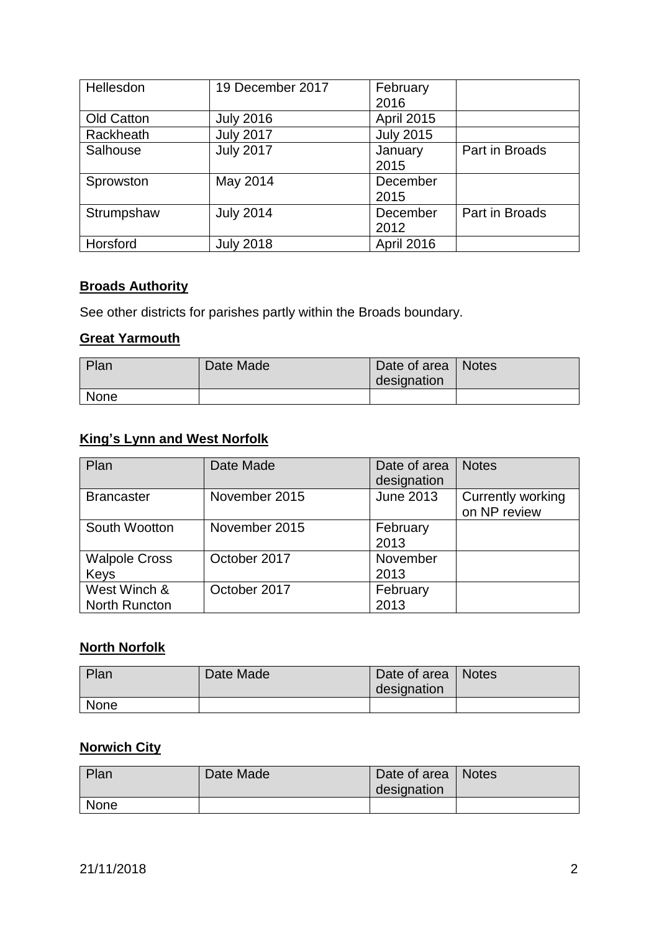| Hellesdon  | 19 December 2017 | February          |                |
|------------|------------------|-------------------|----------------|
|            |                  | 2016              |                |
| Old Catton | <b>July 2016</b> | <b>April 2015</b> |                |
| Rackheath  | <b>July 2017</b> | <b>July 2015</b>  |                |
| Salhouse   | <b>July 2017</b> | January           | Part in Broads |
|            |                  | 2015              |                |
| Sprowston  | May 2014         | December          |                |
|            |                  | 2015              |                |
| Strumpshaw | <b>July 2014</b> | December          | Part in Broads |
|            |                  | 2012              |                |
| Horsford   | <b>July 2018</b> | <b>April 2016</b> |                |

## **Broads Authority**

See other districts for parishes partly within the Broads boundary.

#### **Great Yarmouth**

| Plan        | Date Made | Date of area   Notes<br>designation |  |
|-------------|-----------|-------------------------------------|--|
| <b>None</b> |           |                                     |  |

#### **King's Lynn and West Norfolk**

| Plan                 | Date Made     | Date of area     | <b>Notes</b>             |
|----------------------|---------------|------------------|--------------------------|
|                      |               | designation      |                          |
| <b>Brancaster</b>    | November 2015 | <b>June 2013</b> | <b>Currently working</b> |
|                      |               |                  | on NP review             |
| South Wootton        | November 2015 | February         |                          |
|                      |               | 2013             |                          |
| <b>Walpole Cross</b> | October 2017  | November         |                          |
| Keys                 |               | 2013             |                          |
| West Winch &         | October 2017  | February         |                          |
| <b>North Runcton</b> |               | 2013             |                          |

#### **North Norfolk**

| Plan        | Date Made | Date of area   Notes<br>designation |  |
|-------------|-----------|-------------------------------------|--|
| <b>None</b> |           |                                     |  |

## **Norwich City**

| Plan        | Date Made | Date of area   Notes |  |
|-------------|-----------|----------------------|--|
|             |           | designation          |  |
| <b>None</b> |           |                      |  |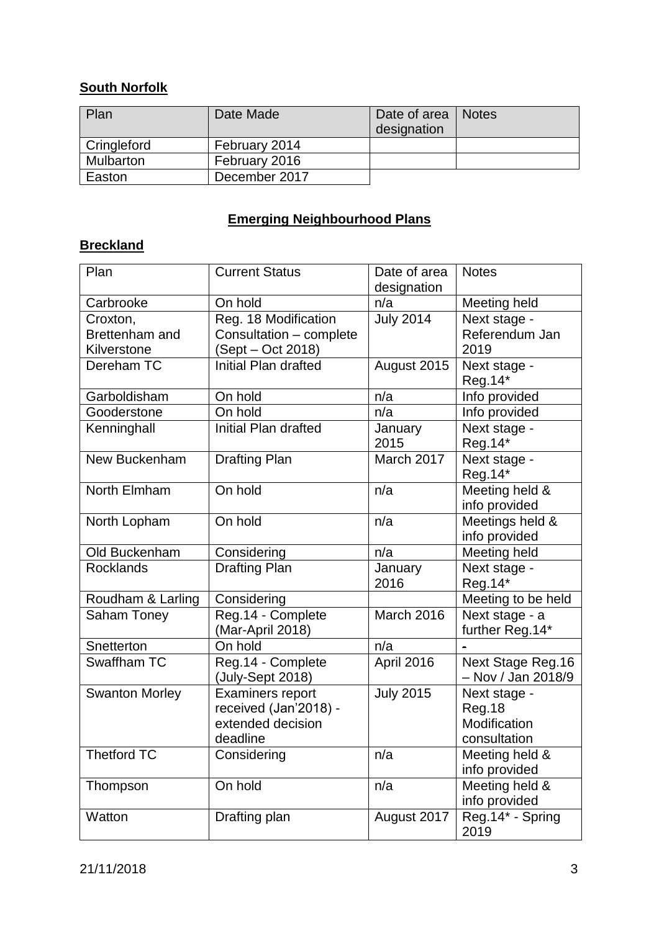## **South Norfolk**

| Plan        | Date Made     | Date of area   Notes<br>designation |  |
|-------------|---------------|-------------------------------------|--|
| Cringleford | February 2014 |                                     |  |
| Mulbarton   | February 2016 |                                     |  |
| Easton      | December 2017 |                                     |  |

# **Emerging Neighbourhood Plans**

## **Breckland**

| Plan                              | <b>Current Status</b>                                                             | Date of area<br>designation | <b>Notes</b>                                                  |
|-----------------------------------|-----------------------------------------------------------------------------------|-----------------------------|---------------------------------------------------------------|
| Carbrooke                         | On hold                                                                           | n/a                         | Meeting held                                                  |
| Croxton,<br><b>Brettenham and</b> | Reg. 18 Modification<br>Consultation - complete                                   | <b>July 2014</b>            | Next stage -<br>Referendum Jan                                |
| Kilverstone                       | (Sept – Oct 2018)                                                                 |                             | 2019                                                          |
| Dereham TC                        | Initial Plan drafted                                                              | August 2015                 | Next stage -<br>Reg.14*                                       |
| Garboldisham                      | On hold                                                                           | n/a                         | Info provided                                                 |
| Gooderstone                       | On hold                                                                           | n/a                         | Info provided                                                 |
| Kenninghall                       | Initial Plan drafted                                                              | January<br>2015             | Next stage -<br>Reg.14*                                       |
| New Buckenham                     | <b>Drafting Plan</b>                                                              | March 2017                  | Next stage -<br>Reg.14*                                       |
| North Elmham                      | On hold                                                                           | n/a                         | Meeting held &<br>info provided                               |
| North Lopham                      | On hold                                                                           | n/a                         | Meetings held &<br>info provided                              |
| Old Buckenham                     | Considering                                                                       | n/a                         | Meeting held                                                  |
| <b>Rocklands</b>                  | <b>Drafting Plan</b>                                                              | January<br>2016             | Next stage -<br>Reg.14*                                       |
| Roudham & Larling                 | Considering                                                                       |                             | Meeting to be held                                            |
| Saham Toney                       | Reg.14 - Complete<br>(Mar-April 2018)                                             | March 2016                  | Next stage - a<br>further Reg.14*                             |
| Snetterton                        | On hold                                                                           | n/a                         |                                                               |
| Swaffham TC                       | Reg.14 - Complete<br>(July-Sept 2018)                                             | April 2016                  | Next Stage Reg.16<br>- Nov / Jan 2018/9                       |
| <b>Swanton Morley</b>             | <b>Examiners report</b><br>received (Jan'2018) -<br>extended decision<br>deadline | <b>July 2015</b>            | Next stage -<br><b>Reg.18</b><br>Modification<br>consultation |
| Thetford TC                       | Considering                                                                       | n/a                         | Meeting held &<br>info provided                               |
| Thompson                          | On hold                                                                           | n/a                         | Meeting held &<br>info provided                               |
| Watton                            | Drafting plan                                                                     | August 2017                 | Reg.14* - Spring<br>2019                                      |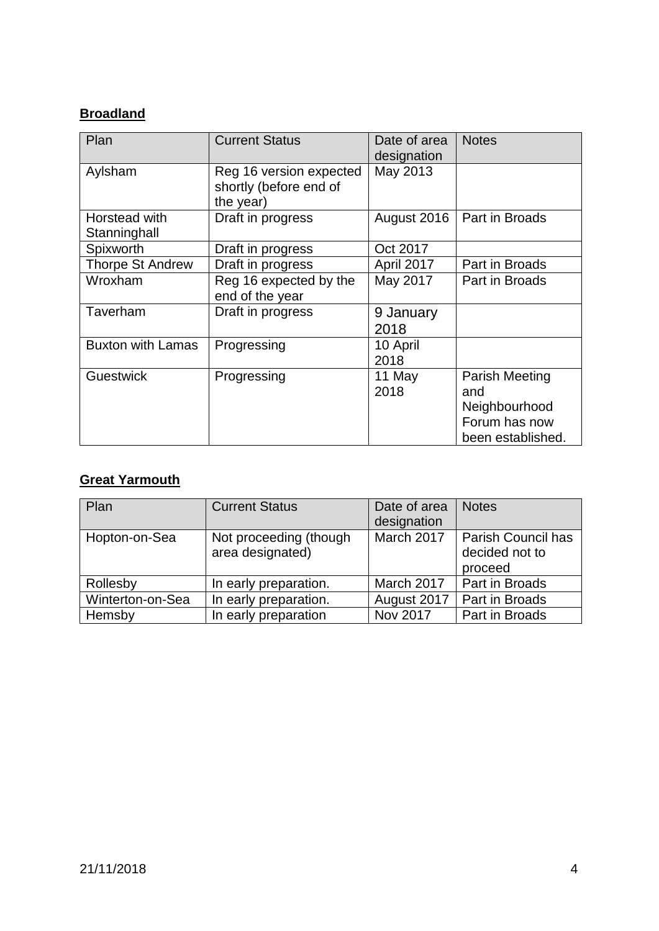#### **Broadland**

| Plan                          | <b>Current Status</b>                                          | Date of area<br>designation | <b>Notes</b>                                                                 |
|-------------------------------|----------------------------------------------------------------|-----------------------------|------------------------------------------------------------------------------|
| Aylsham                       | Reg 16 version expected<br>shortly (before end of<br>the year) | May 2013                    |                                                                              |
| Horstead with<br>Stanninghall | Draft in progress                                              | August 2016                 | Part in Broads                                                               |
| Spixworth                     | Draft in progress                                              | Oct 2017                    |                                                                              |
| <b>Thorpe St Andrew</b>       | Draft in progress                                              | April 2017                  | Part in Broads                                                               |
| Wroxham                       | Reg 16 expected by the<br>end of the year                      | May 2017                    | Part in Broads                                                               |
| Taverham                      | Draft in progress                                              | 9 January<br>2018           |                                                                              |
| <b>Buxton with Lamas</b>      | Progressing                                                    | 10 April<br>2018            |                                                                              |
| <b>Guestwick</b>              | Progressing                                                    | 11 May<br>2018              | Parish Meeting<br>and<br>Neighbourhood<br>Forum has now<br>been established. |

# **Great Yarmouth**

| Plan             | <b>Current Status</b>                      | Date of area<br>designation | <b>Notes</b>                                           |
|------------------|--------------------------------------------|-----------------------------|--------------------------------------------------------|
| Hopton-on-Sea    | Not proceeding (though<br>area designated) | March 2017                  | <b>Parish Council has</b><br>decided not to<br>proceed |
| Rollesby         | In early preparation.                      | March 2017                  | Part in Broads                                         |
| Winterton-on-Sea | In early preparation.                      | August 2017                 | Part in Broads                                         |
| Hemsby           | In early preparation                       | <b>Nov 2017</b>             | Part in Broads                                         |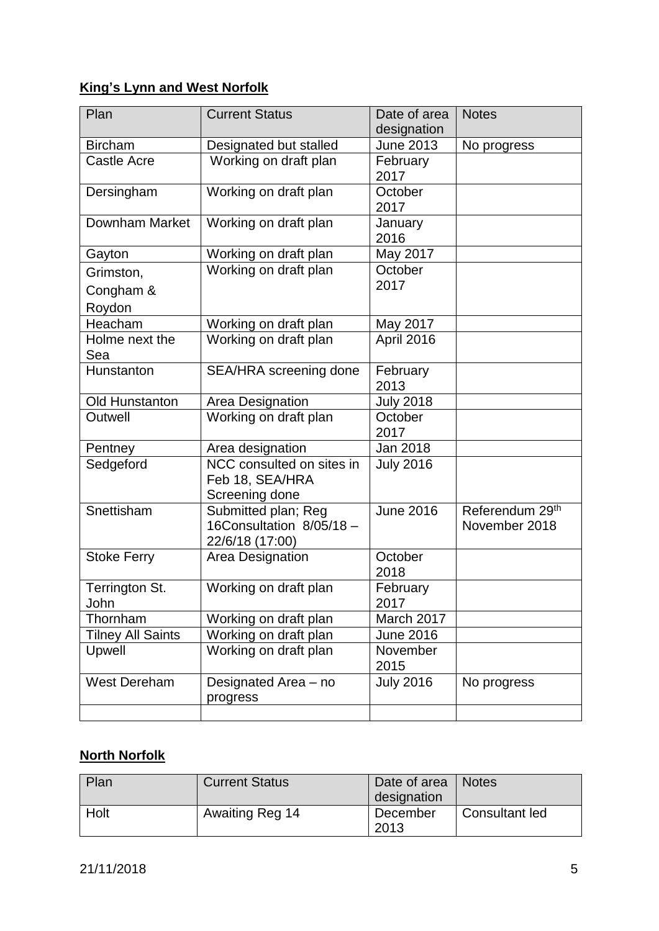# **King's Lynn and West Norfolk**

| Plan                     | <b>Current Status</b>                                              | Date of area<br>designation | <b>Notes</b>                     |
|--------------------------|--------------------------------------------------------------------|-----------------------------|----------------------------------|
| <b>Bircham</b>           | Designated but stalled                                             | <b>June 2013</b>            | No progress                      |
| <b>Castle Acre</b>       | Working on draft plan                                              | February<br>2017            |                                  |
| Dersingham               | Working on draft plan                                              | October<br>2017             |                                  |
| Downham Market           | Working on draft plan                                              | January<br>2016             |                                  |
| Gayton                   | Working on draft plan                                              | May 2017                    |                                  |
| Grimston,                | Working on draft plan                                              | October                     |                                  |
| Congham &                |                                                                    | 2017                        |                                  |
| Roydon                   |                                                                    |                             |                                  |
| Heacham                  | Working on draft plan                                              | May 2017                    |                                  |
| Holme next the<br>Sea    | Working on draft plan                                              | April 2016                  |                                  |
| Hunstanton               | SEA/HRA screening done                                             | February<br>2013            |                                  |
| <b>Old Hunstanton</b>    | Area Designation                                                   | <b>July 2018</b>            |                                  |
| Outwell                  | Working on draft plan                                              | October<br>2017             |                                  |
| Pentney                  | Area designation                                                   | Jan 2018                    |                                  |
| Sedgeford                | NCC consulted on sites in<br>Feb 18, SEA/HRA<br>Screening done     | <b>July 2016</b>            |                                  |
| Snettisham               | Submitted plan; Reg<br>16Consultation 8/05/18 -<br>22/6/18 (17:00) | <b>June 2016</b>            | Referendum 29th<br>November 2018 |
| <b>Stoke Ferry</b>       | Area Designation                                                   | October<br>2018             |                                  |
| Terrington St.<br>John   | Working on draft plan                                              | February<br>2017            |                                  |
| Thornham                 | Working on draft plan                                              | March 2017                  |                                  |
| <b>Tilney All Saints</b> | Working on draft plan                                              | <b>June 2016</b>            |                                  |
| Upwell                   | Working on draft plan                                              | November<br>2015            |                                  |
| <b>West Dereham</b>      | Designated Area - no<br>progress                                   | <b>July 2016</b>            | No progress                      |
|                          |                                                                    |                             |                                  |

#### **North Norfolk**

| Plan | <b>Current Status</b> | Date of area<br>designation | I Notes        |
|------|-----------------------|-----------------------------|----------------|
| Holt | Awaiting Reg 14       | December<br>2013            | Consultant led |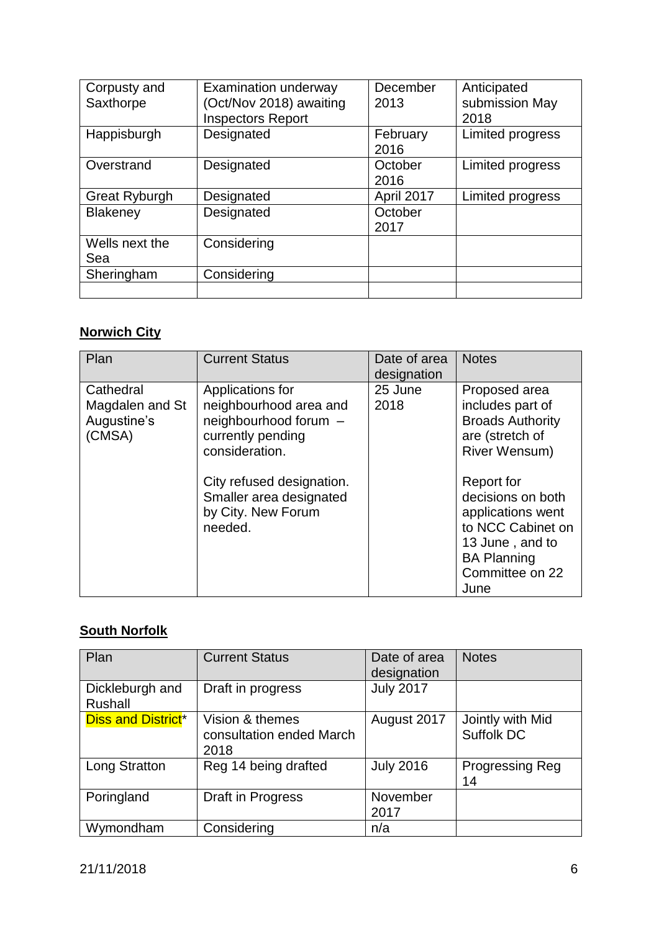| Corpusty and         | <b>Examination underway</b> | December   | Anticipated      |
|----------------------|-----------------------------|------------|------------------|
| Saxthorpe            | (Oct/Nov 2018) awaiting     | 2013       | submission May   |
|                      | <b>Inspectors Report</b>    |            | 2018             |
| Happisburgh          | Designated                  | February   | Limited progress |
|                      |                             | 2016       |                  |
| Overstrand           | Designated                  | October    | Limited progress |
|                      |                             | 2016       |                  |
| <b>Great Ryburgh</b> | Designated                  | April 2017 | Limited progress |
| <b>Blakeney</b>      | Designated                  | October    |                  |
|                      |                             | 2017       |                  |
| Wells next the       | Considering                 |            |                  |
| Sea                  |                             |            |                  |
| Sheringham           | Considering                 |            |                  |
|                      |                             |            |                  |

## **Norwich City**

| Plan                                                  | <b>Current Status</b>                                                                                                                                                                               | Date of area<br>designation | <b>Notes</b>                                                                                                                                                                                                                                      |
|-------------------------------------------------------|-----------------------------------------------------------------------------------------------------------------------------------------------------------------------------------------------------|-----------------------------|---------------------------------------------------------------------------------------------------------------------------------------------------------------------------------------------------------------------------------------------------|
| Cathedral<br>Magdalen and St<br>Augustine's<br>(CMSA) | Applications for<br>neighbourhood area and<br>neighbourhood forum -<br>currently pending<br>consideration.<br>City refused designation.<br>Smaller area designated<br>by City. New Forum<br>needed. | 25 June<br>2018             | Proposed area<br>includes part of<br><b>Broads Authority</b><br>are (stretch of<br>River Wensum)<br>Report for<br>decisions on both<br>applications went<br>to NCC Cabinet on<br>13 June, and to<br><b>BA Planning</b><br>Committee on 22<br>June |

# **South Norfolk**

| Plan                              | <b>Current Status</b>                               | Date of area<br>designation | <b>Notes</b>                   |
|-----------------------------------|-----------------------------------------------------|-----------------------------|--------------------------------|
| Dickleburgh and<br><b>Rushall</b> | Draft in progress                                   | <b>July 2017</b>            |                                |
| <b>Diss and District*</b>         | Vision & themes<br>consultation ended March<br>2018 | August 2017                 | Jointly with Mid<br>Suffolk DC |
| <b>Long Stratton</b>              | Reg 14 being drafted                                | <b>July 2016</b>            | <b>Progressing Reg</b><br>14   |
| Poringland                        | Draft in Progress                                   | November<br>2017            |                                |
| Wymondham                         | Considering                                         | n/a                         |                                |